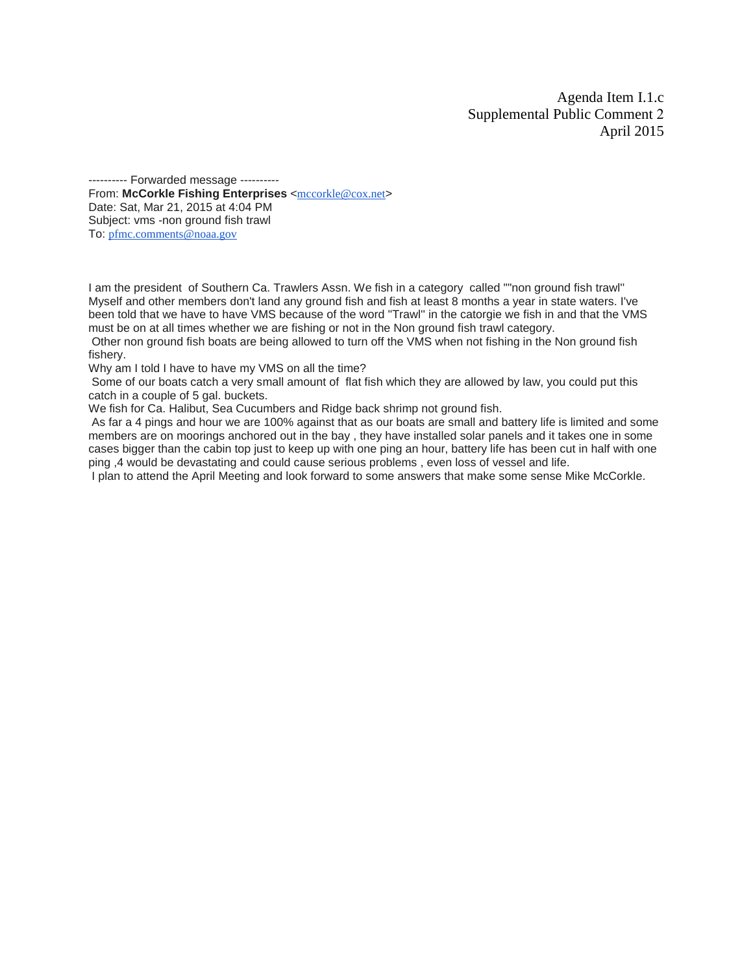Agenda Item I.1.c Supplemental Public Comment 2 April 2015

---------- Forwarded message --------- From: McCorkle Fishing Enterprises <[mccorkle@cox.net](mailto:mccorkle@cox.net)> Date: Sat, Mar 21, 2015 at 4:04 PM Subject: vms -non ground fish trawl To: [pfmc.comments@noaa.gov](mailto:pfmc.comments@noaa.gov)

I am the president of Southern Ca. Trawlers Assn. We fish in a category called ""non ground fish trawl'' Myself and other members don't land any ground fish and fish at least 8 months a year in state waters. I've been told that we have to have VMS because of the word ''Trawl'' in the catorgie we fish in and that the VMS must be on at all times whether we are fishing or not in the Non ground fish trawl category.

Other non ground fish boats are being allowed to turn off the VMS when not fishing in the Non ground fish fishery.

Why am I told I have to have my VMS on all the time?

Some of our boats catch a very small amount of flat fish which they are allowed by law, you could put this catch in a couple of 5 gal. buckets.

We fish for Ca. Halibut, Sea Cucumbers and Ridge back shrimp not ground fish.

As far a 4 pings and hour we are 100% against that as our boats are small and battery life is limited and some members are on moorings anchored out in the bay , they have installed solar panels and it takes one in some cases bigger than the cabin top just to keep up with one ping an hour, battery life has been cut in half with one ping ,4 would be devastating and could cause serious problems , even loss of vessel and life.

I plan to attend the April Meeting and look forward to some answers that make some sense Mike McCorkle.